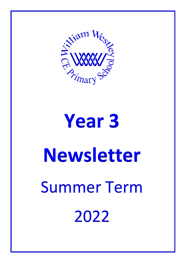

# **Year 3 Newsletter** Summer Term 2022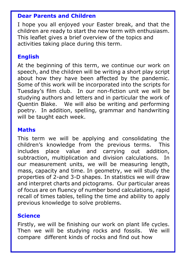#### **Dear Parents and Children**

I hope you all enjoyed your Easter break, and that the children are ready to start the new term with enthusiasm. This leaflet gives a brief overview of the topics and activities taking place during this term.

## **English**

At the beginning of this term, we continue our work on speech, and the children will be writing a short play script about how they have been affected by the pandemic. Some of this work will be incorporated into the scripts for Tuesday's film club. In our non-fiction unit we will be studying authors and letters and in particular the work of Quentin Blake. We will also be writing and performing poetry. In addition, spelling, grammar and handwriting will be taught each week.

## **Maths**

This term we will be applying and consolidating the children's knowledge from the previous terms. This includes place value and carrying out addition, subtraction, multiplication and division calculations. In our measurement units, we will be measuring length, mass, capacity and time. In geometry, we will study the properties of 2-and 3-D shapes. In statistics we will draw and interpret charts and pictograms. Our particular areas of focus are on fluency of number bond calculations, rapid recall of times tables, telling the time and ability to apply previous knowledge to solve problems.

## **Science**

Firstly, we will be finishing our work on plant life cycles. Then we will be studying rocks and fossils. We will compare different kinds of rocks and find out how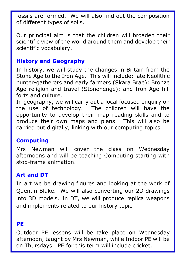fossils are formed. We will also find out the composition of different types of soils.

Our principal aim is that the children will broaden their scientific view of the world around them and develop their scientific vocabulary.

#### **History and Geography**

In history, we will study the changes in Britain from the Stone Age to the Iron Age. This will include: late Neolithic hunter-gatherers and early farmers (Skara Brae); Bronze Age religion and travel (Stonehenge); and Iron Age hill forts and culture.

In geography, we will carry out a local focused enquiry on the use of technology. The children will have the opportunity to develop their map reading skills and to produce their own maps and plans. This will also be carried out digitally, linking with our computing topics.

## **Computing**

Mrs Newman will cover the class on Wednesday afternoons and will be teaching Computing starting with stop-frame animation.

# **Art and DT**

In art we be drawing figures and looking at the work of Quentin Blake. We will also converting our 2D drawings into 3D models. In DT, we will produce replica weapons and implements related to our history topic.

#### **PE**

Outdoor PE lessons will be take place on Wednesday afternoon, taught by Mrs Newman, while Indoor PE will be on Thursdays. PE for this term will include cricket,